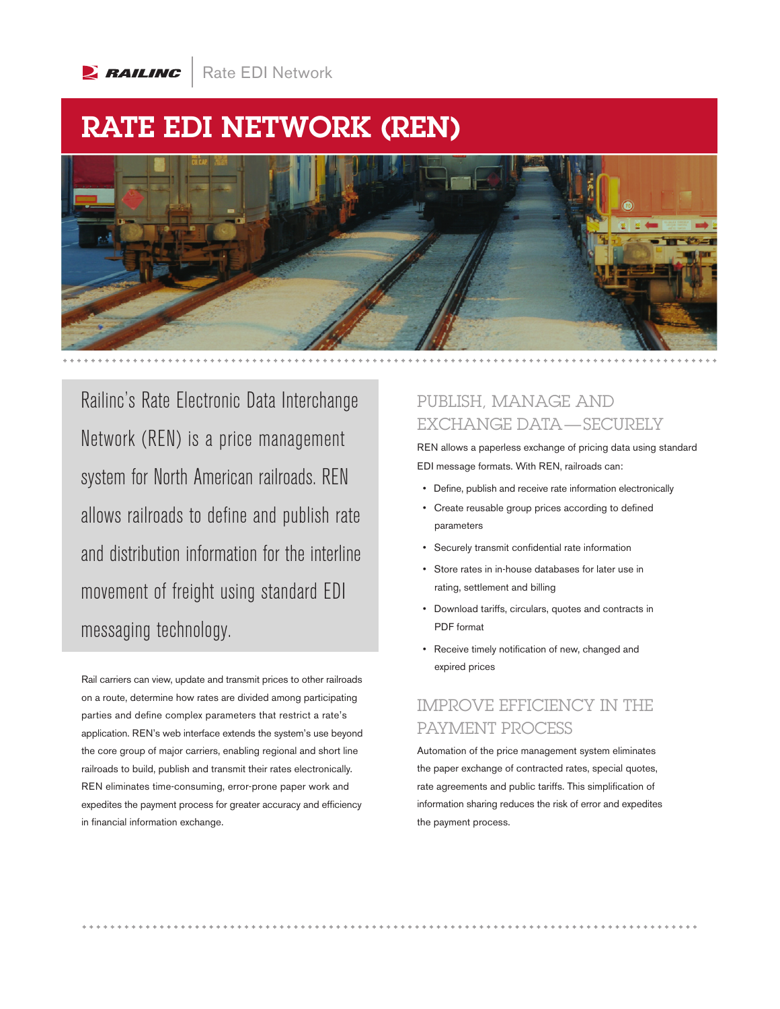

# RATE EDI NETWORK (REN)



Railinc's Rate Electronic Data Interchange Network (REN) is a price management system for North American railroads. REN allows railroads to define and publish rate and distribution information for the interline movement of freight using standard EDI messaging technology.

Rail carriers can view, update and transmit prices to other railroads on a route, determine how rates are divided among participating parties and define complex parameters that restrict a rate's application. REN's web interface extends the system's use beyond the core group of major carriers, enabling regional and short line railroads to build, publish and transmit their rates electronically. REN eliminates time-consuming, error-prone paper work and expedites the payment process for greater accuracy and efficiency in financial information exchange.

#### PUBLISH, MANAGE AND EXCHANGE DATA—SECURELY

REN allows a paperless exchange of pricing data using standard EDI message formats. With REN, railroads can:

- Define, publish and receive rate information electronically
- Create reusable group prices according to defined parameters
- Securely transmit confidential rate information
- Store rates in in-house databases for later use in rating, settlement and billing
- Download tariffs, circulars, quotes and contracts in PDF format
- Receive timely notification of new, changed and expired prices

### IMPROVE EFFICIENCY IN THE PAYMENT PROCESS

Automation of the price management system eliminates the paper exchange of contracted rates, special quotes, rate agreements and public tariffs. This simplification of information sharing reduces the risk of error and expedites the payment process.